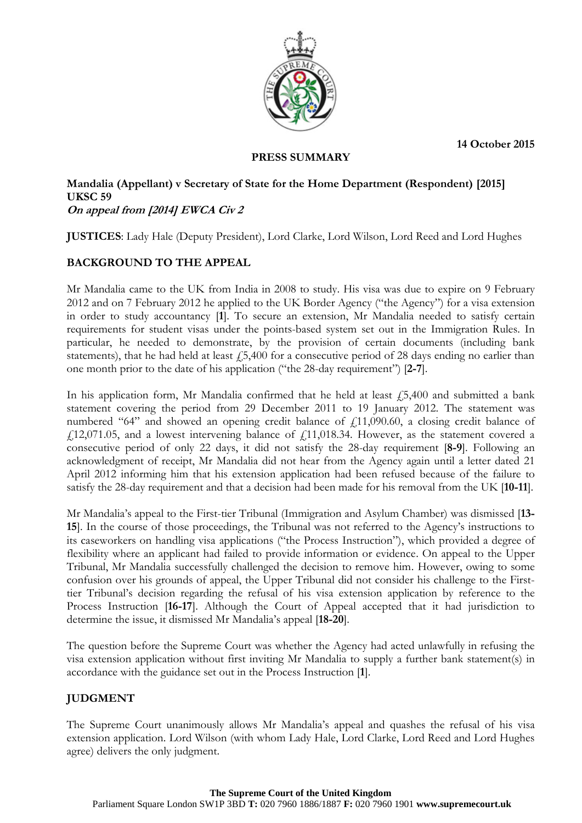**14 October 2015**



### **PRESS SUMMARY**

#### **Mandalia (Appellant) v Secretary of State for the Home Department (Respondent) [2015] UKSC 59 On appeal from [2014] EWCA Civ 2**

**JUSTICES**: Lady Hale (Deputy President), Lord Clarke, Lord Wilson, Lord Reed and Lord Hughes

# **BACKGROUND TO THE APPEAL**

Mr Mandalia came to the UK from India in 2008 to study. His visa was due to expire on 9 February 2012 and on 7 February 2012 he applied to the UK Border Agency ("the Agency") for a visa extension in order to study accountancy [**1**]. To secure an extension, Mr Mandalia needed to satisfy certain requirements for student visas under the points-based system set out in the Immigration Rules. In particular, he needed to demonstrate, by the provision of certain documents (including bank statements), that he had held at least  $\dot{1}$ ,  $\dot{5}$ ,  $\dot{4}00$  for a consecutive period of 28 days ending no earlier than one month prior to the date of his application ("the 28-day requirement") [**2-7**].

In his application form, Mr Mandalia confirmed that he held at least  $\ell$ 5,400 and submitted a bank statement covering the period from 29 December 2011 to 19 January 2012. The statement was numbered "64" and showed an opening credit balance of  $f(11,090.60)$ , a closing credit balance of  $\text{\emph{f}}(12,071.05, \text{ and a lowest intervening balance of } \text{\emph{f}}(11,018.34. \text{ However, as the statement covered a})$ consecutive period of only 22 days, it did not satisfy the 28-day requirement [**8-9**]. Following an acknowledgment of receipt, Mr Mandalia did not hear from the Agency again until a letter dated 21 April 2012 informing him that his extension application had been refused because of the failure to satisfy the 28-day requirement and that a decision had been made for his removal from the UK [**10-11**].

Mr Mandalia's appeal to the First-tier Tribunal (Immigration and Asylum Chamber) was dismissed [**13- 15**]. In the course of those proceedings, the Tribunal was not referred to the Agency's instructions to its caseworkers on handling visa applications ("the Process Instruction"), which provided a degree of flexibility where an applicant had failed to provide information or evidence. On appeal to the Upper Tribunal, Mr Mandalia successfully challenged the decision to remove him. However, owing to some confusion over his grounds of appeal, the Upper Tribunal did not consider his challenge to the Firsttier Tribunal's decision regarding the refusal of his visa extension application by reference to the Process Instruction [**16-17**]. Although the Court of Appeal accepted that it had jurisdiction to determine the issue, it dismissed Mr Mandalia's appeal [**18-20**].

The question before the Supreme Court was whether the Agency had acted unlawfully in refusing the visa extension application without first inviting Mr Mandalia to supply a further bank statement(s) in accordance with the guidance set out in the Process Instruction [**1**].

## **JUDGMENT**

The Supreme Court unanimously allows Mr Mandalia's appeal and quashes the refusal of his visa extension application. Lord Wilson (with whom Lady Hale, Lord Clarke, Lord Reed and Lord Hughes agree) delivers the only judgment.